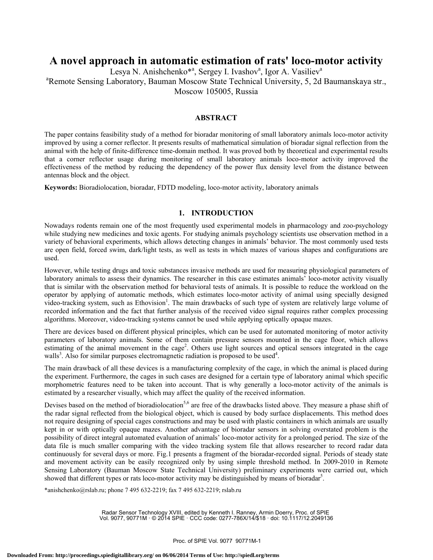# **A novel approach in automatic estimation of rats' loco-motor activity**

Lesya N. Anishchenko<sup>\*a</sup>, Sergey I. Ivashov<sup>a</sup>, Igor A. Vasiliev<sup>a</sup>

a Remote Sensing Laboratory, Bauman Moscow State Technical University, 5, 2d Baumanskaya str., Moscow 105005, Russia

## **ABSTRACT**

The paper contains feasibility study of a method for bioradar monitoring of small laboratory animals loco-motor activity improved by using a corner reflector. It presents results of mathematical simulation of bioradar signal reflection from the animal with the help of finite-difference time-domain method. It was proved both by theoretical and experimental results that a corner reflector usage during monitoring of small laboratory animals loco-motor activity improved the effectiveness of the method by reducing the dependency of the power flux density level from the distance between antennas block and the object.

**Keywords:** Bioradiolocation, bioradar, FDTD modeling, loco-motor activity, laboratory animals

## **1. INTRODUCTION**

Nowadays rodents remain one of the most frequently used experimental models in pharmacology and zoo-psychology while studying new medicines and toxic agents. For studying animals psychology scientists use observation method in a variety of behavioral experiments, which allows detecting changes in animals' behavior. The most commonly used tests are open field, forced swim, dark/light tests, as well as tests in which mazes of various shapes and configurations are used.

However, while testing drugs and toxic substances invasive methods are used for measuring physiological parameters of laboratory animals to assess their dynamics. The researcher in this case estimates animals' loco-motor activity visually that is similar with the observation method for behavioral tests of animals. It is possible to reduce the workload on the operator by applying of automatic methods, which estimates loco-motor activity of animal using specially designed video-tracking system, such as Ethovision<sup>1</sup>. The main drawbacks of such type of system are relatively large volume of recorded information and the fact that further analysis of the received video signal requires rather complex processing algorithms. Moreover, video-tracking systems cannot be used while applying optically opaque mazes.

There are devices based on different physical principles, which can be used for automated monitoring of motor activity parameters of laboratory animals. Some of them contain pressure sensors mounted in the cage floor, which allows estimating of the animal movement in the cage<sup>2</sup>. Others use light sources and optical sensors integrated in the cage walls<sup>3</sup>. Also for similar purposes electromagnetic radiation is proposed to be used<sup>4</sup>.

The main drawback of all these devices is a manufacturing complexity of the cage, in which the animal is placed during the experiment. Furthermore, the cages in such cases are designed for a certain type of laboratory animal which specific morphometric features need to be taken into account. That is why generally a loco-motor activity of the animals is estimated by a researcher visually, which may affect the quality of the received information.

Devises based on the method of bioradiolocation<sup>5,6</sup> are free of the drawbacks listed above. They measure a phase shift of the radar signal reflected from the biological object, which is caused by body surface displacements. This method does not require designing of special cages constructions and may be used with plastic containers in which animals are usually kept in or with optically opaque mazes. Another advantage of bioradar sensors in solving overstated problem is the possibility of direct integral automated evaluation of animals' loco-motor activity for a prolonged period. The size of the data file is much smaller comparing with the video tracking system file that allows researcher to record radar data continuously for several days or more. Fig.1 presents a fragment of the bioradar-recorded signal. Periods of steady state and movement activity can be easily recognized only by using simple threshold method. In 2009-2010 in Remote Sensing Laboratory (Bauman Moscow State Technical University) preliminary experiments were carried out, which showed that different types or rats loco-motor activity may be distinguished by means of bioradar<sup>5</sup>.

\*anishchenko@rslab.ru; phone 7 495 632-2219; fax 7 495 632-2219; rslab.ru

Radar Sensor Technology XVIII, edited by Kenneth I. Ranney, Armin Doerry, Proc. of SPIE Vol. 9077, 90771M · © 2014 SPIE · CCC code: 0277-786X/14/\$18 · doi: 10.1117/12.2049136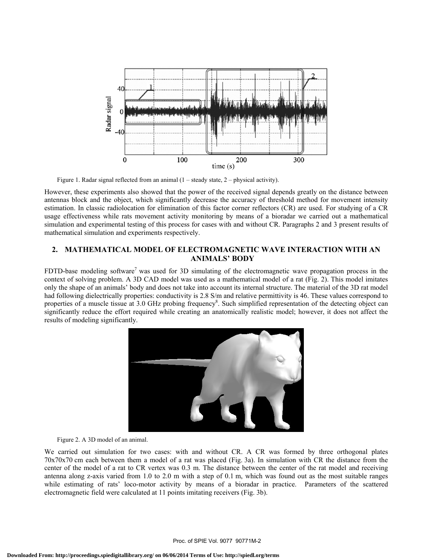

Figure 1. Radar signal reflected from an animal (1 – steady state, 2 – physical activity).

However, these experiments also showed that the power of the received signal depends greatly on the distance between antennas block and the object, which significantly decrease the accuracy of threshold method for movement intensity estimation. In classic radiolocation for elimination of this factor corner reflectors (CR) are used. For studying of a CR usage effectiveness while rats movement activity monitoring by means of a bioradar we carried out a mathematical simulation and experimental testing of this process for cases with and without CR. Paragraphs 2 and 3 present results of mathematical simulation and experiments respectively.

## **2. MATHEMATICAL MODEL OF ELECTROMAGNETIC WAVE INTERACTION WITH AN ANIMALS' BODY**

FDTD-base modeling software<sup>7</sup> was used for 3D simulating of the electromagnetic wave propagation process in the context of solving problem. A 3D CAD model was used as a mathematical model of a rat (Fig. 2). This model imitates only the shape of an animals' body and does not take into account its internal structure. The material of the 3D rat model had following dielectrically properties: conductivity is 2.8 S/m and relative permittivity is 46. These values correspond to properties of a muscle tissue at 3.0 GHz probing frequency<sup>8</sup>. Such simplified representation of the detecting object can significantly reduce the effort required while creating an anatomically realistic model; however, it does not affect the results of modeling significantly.



#### Figure 2. A 3D model of an animal.

We carried out simulation for two cases: with and without CR. A CR was formed by three orthogonal plates 70x70x70 cm each between them a model of a rat was placed (Fig. 3a). In simulation with CR the distance from the center of the model of a rat to CR vertex was 0.3 m. The distance between the center of the rat model and receiving antenna along z-axis varied from 1.0 to 2.0 m with a step of 0.1 m, which was found out as the most suitable ranges while estimating of rats' loco-motor activity by means of a bioradar in practice. Parameters of the scattered electromagnetic field were calculated at 11 points imitating receivers (Fig. 3b).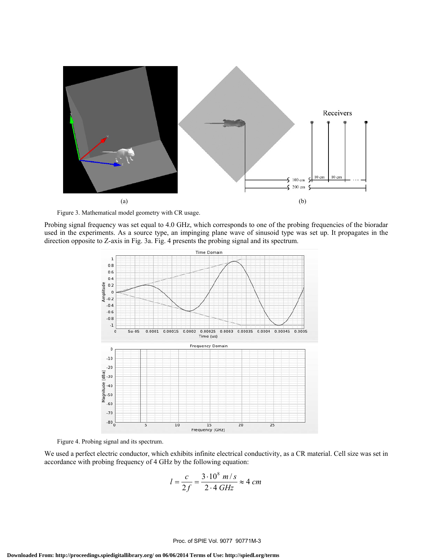

Figure 3. Mathematical model geometry with CR usage.

Probing signal frequency was set equal to 4.0 GHz, which corresponds to one of the probing frequencies of the bioradar used in the experiments. As a source type, an impinging plane wave of sinusoid type was set up. It propagates in the direction opposite to Z-axis in Fig. 3a. Fig. 4 presents the probing signal and its spectrum.



Figure 4. Probing signal and its spectrum.

We used a perfect electric conductor, which exhibits infinite electrical conductivity, as a CR material. Cell size was set in accordance with probing frequency of 4 GHz by the following equation:

$$
l = \frac{c}{2f} = \frac{3 \cdot 10^8 \, m/s}{2 \cdot 4 \, GHz} \approx 4 \, cm
$$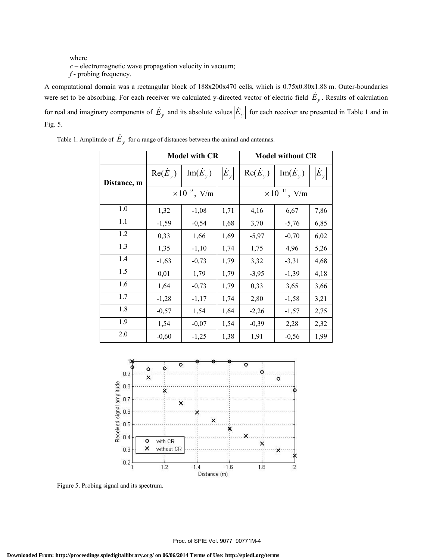## where *c* – electromagnetic wave propagation velocity in vacuum; *f* - probing frequency.

A computational domain was a rectangular block of 188x200x470 cells, which is 0.75x0.80x1.88 m. Outer-boundaries were set to be absorbing. For each receiver we calculated y-directed vector of electric field  $\dot{E}_y$ . Results of calculation for real and imaginary components of  $\dot{E}_y$  and its absolute values  $|\dot{E}_y|$  for each receiver are presented in Table 1 and in Fig. 5.

|             | <b>Model with CR</b>   |                            |                                 | <b>Model without CR</b> |                            |               |
|-------------|------------------------|----------------------------|---------------------------------|-------------------------|----------------------------|---------------|
| Distance, m | $Re(\dot{E}_{\nu})$    | $\text{Im}(\dot{E}_{\nu})$ | $\left  {{{\dot E}_y}} \right $ | $Re(\dot{E}_{\nu})$     | $\text{Im}(\dot{E}_{\nu})$ | $ \dot{E}_y $ |
|             | $\times 10^{-9}$ , V/m |                            |                                 | $\times 10^{-11}$ , V/m |                            |               |
| 1.0         | 1,32                   | $-1,08$                    | 1,71                            | 4,16                    | 6,67                       | 7,86          |
| 1.1         | $-1,59$                | $-0,54$                    | 1,68                            | 3,70                    | $-5,76$                    | 6,85          |
| 1.2         | 0,33                   | 1,66                       | 1,69                            | $-5,97$                 | $-0,70$                    | 6,02          |
| 1.3         | 1,35                   | $-1,10$                    | 1,74                            | 1,75                    | 4,96                       | 5,26          |
| 1.4         | $-1,63$                | $-0,73$                    | 1,79                            | 3,32                    | $-3,31$                    | 4,68          |
| 1.5         | 0,01                   | 1,79                       | 1,79                            | $-3,95$                 | $-1,39$                    | 4,18          |
| 1.6         | 1,64                   | $-0,73$                    | 1,79                            | 0,33                    | 3,65                       | 3,66          |
| 1.7         | $-1,28$                | $-1,17$                    | 1,74                            | 2,80                    | $-1,58$                    | 3,21          |
| 1.8         | $-0,57$                | 1,54                       | 1,64                            | $-2,26$                 | $-1,57$                    | 2,75          |
| 1.9         | 1,54                   | $-0,07$                    | 1,54                            | $-0,39$                 | 2,28                       | 2,32          |
| 2.0         | $-0,60$                | $-1,25$                    | 1,38                            | 1,91                    | $-0,56$                    | 1,99          |

Table 1. Amplitude of  $\dot{E}_y$  for a range of distances between the animal and antennas.



Figure 5. Probing signal and its spectrum.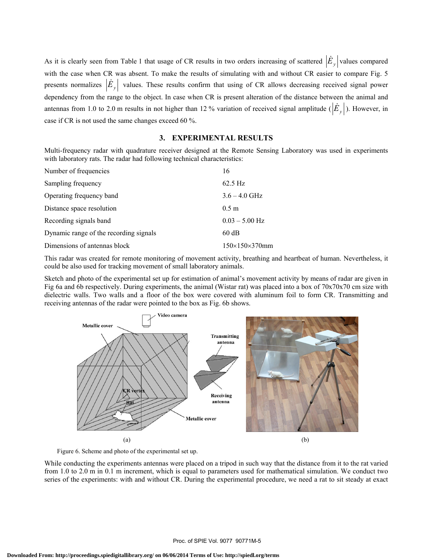As it is clearly seen from Table 1 that usage of CR results in two orders increasing of scattered  $|\dot{E}_y|$  values compared with the case when CR was absent. To make the results of simulating with and without CR easier to compare Fig. 5 presents normalizes  $|\dot{E}_y|$  values. These results confirm that using of CR allows decreasing received signal power dependency from the range to the object. In case when CR is present alteration of the distance between the animal and antennas from 1.0 to 2.0 m results in not higher than 12 % variation of received signal amplitude  $(\dot{E}_y)$ . However, in case if CR is not used the same changes exceed 60 %.

## **3. EXPERIMENTAL RESULTS**

Multi-frequency radar with quadrature receiver designed at the Remote Sensing Laboratory was used in experiments with laboratory rats. The radar had following technical characteristics:

| Number of frequencies                  | 16                         |
|----------------------------------------|----------------------------|
| Sampling frequency                     | $62.5$ Hz                  |
| Operating frequency band               | $3.6 - 4.0$ GHz            |
| Distance space resolution              | 0.5 <sub>m</sub>           |
| Recording signals band                 | $0.03 - 5.00$ Hz           |
| Dynamic range of the recording signals | 60 dB                      |
| Dimensions of antennas block           | $150\times150\times370$ mm |

This radar was created for remote monitoring of movement activity, breathing and heartbeat of human. Nevertheless, it could be also used for tracking movement of small laboratory animals.

Sketch and photo of the experimental set up for estimation of animal's movement activity by means of radar are given in Fig 6a and 6b respectively. During experiments, the animal (Wistar rat) was placed into a box of 70x70x70 cm size with dielectric walls. Two walls and a floor of the box were covered with aluminum foil to form CR. Transmitting and receiving antennas of the radar were pointed to the box as Fig. 6b shows.



Figure 6. Scheme and photo of the experimental set up.

While conducting the experiments antennas were placed on a tripod in such way that the distance from it to the rat varied from 1.0 to 2.0 m in 0.1 m increment, which is equal to parameters used for mathematical simulation. We conduct two series of the experiments: with and without CR. During the experimental procedure, we need a rat to sit steady at exact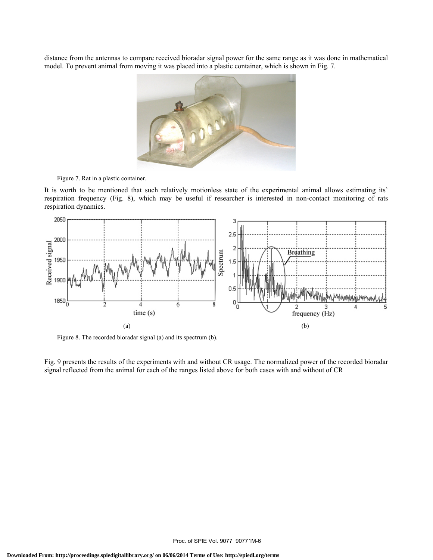distance from the antennas to compare received bioradar signal power for the same range as it was done in mathematical model. To prevent animal from moving it was placed into a plastic container, which is shown in Fig. 7.



Figure 7. Rat in a plastic container.

It is worth to be mentioned that such relatively motionless state of the experimental animal allows estimating its' respiration frequency (Fig. 8), which may be useful if researcher is interested in non-contact monitoring of rats respiration dynamics.



Figure 8. The recorded bioradar signal (a) and its spectrum (b).

Fig. 9 presents the results of the experiments with and without CR usage. The normalized power of the recorded bioradar signal reflected from the animal for each of the ranges listed above for both cases with and without of CR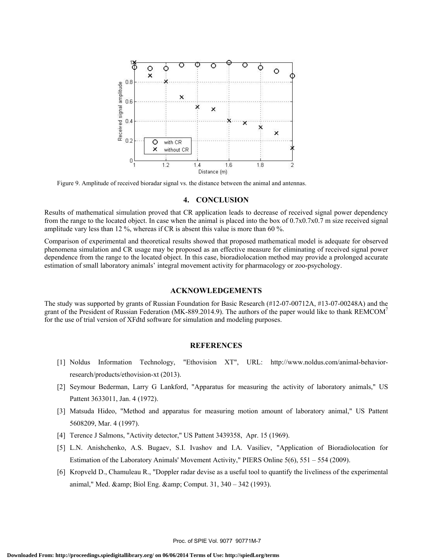

Figure 9. Amplitude of received bioradar signal vs. the distance between the animal and antennas.

#### **4. CONCLUSION**

Results of mathematical simulation proved that CR application leads to decrease of received signal power dependency from the range to the located object. In case when the animal is placed into the box of 0.7x0.7x0.7 m size received signal amplitude vary less than 12 %, whereas if CR is absent this value is more than 60 %.

Comparison of experimental and theoretical results showed that proposed mathematical model is adequate for observed phenomena simulation and CR usage may be proposed as an effective measure for eliminating of received signal power dependence from the range to the located object. In this case, bioradiolocation method may provide a prolonged accurate estimation of small laboratory animals' integral movement activity for pharmacology or zoo-psychology.

#### **ACKNOWLEDGEMENTS**

The study was supported by grants of Russian Foundation for Basic Research (#12-07-00712A, #13-07-00248A) and the grant of the President of Russian Federation (MK-889.2014.9). The authors of the paper would like to thank REMCOM<sup>7</sup> for the use of trial version of XFdtd software for simulation and modeling purposes.

#### **REFERENCES**

- [1] Noldus Information Technology, "Ethovision XT", URL: http://www.noldus.com/animal-behaviorresearch/products/ethovision-xt (2013).
- [2] Seymour Bederman, Larry G Lankford, "Apparatus for measuring the activity of laboratory animals," US Pattent 3633011, Jan. 4 (1972).
- [3] Matsuda Hideo, "Method and apparatus for measuring motion amount of laboratory animal," US Pattent 5608209, Mar. 4 (1997).
- [4] Terence J Salmons, "Activity detector," US Pattent 3439358, Apr. 15 (1969).
- [5] L.N. Anishchenko, A.S. Bugaev, S.I. Ivashov and I.A. Vasiliev, "Application of Bioradiolocation for Estimation of the Laboratory Animals' Movement Activity," PIERS Online 5(6), 551 – 554 (2009).
- [6] Kropveld D., Chamuleau R., "Doppler radar devise as a useful tool to quantify the liveliness of the experimental animal," Med. & amp; Biol Eng. & amp; Comput. 31, 340 – 342 (1993).